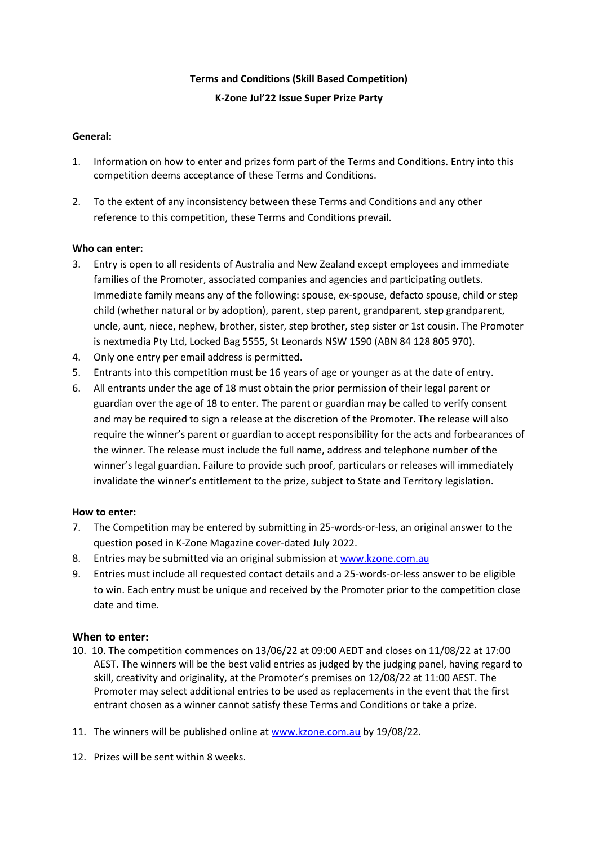# **Terms and Conditions (Skill Based Competition) K-Zone Jul'22 Issue Super Prize Party**

### **General:**

- 1. Information on how to enter and prizes form part of the Terms and Conditions. Entry into this competition deems acceptance of these Terms and Conditions.
- 2. To the extent of any inconsistency between these Terms and Conditions and any other reference to this competition, these Terms and Conditions prevail.

### **Who can enter:**

- 3. Entry is open to all residents of Australia and New Zealand except employees and immediate families of the Promoter, associated companies and agencies and participating outlets. Immediate family means any of the following: spouse, ex-spouse, defacto spouse, child or step child (whether natural or by adoption), parent, step parent, grandparent, step grandparent, uncle, aunt, niece, nephew, brother, sister, step brother, step sister or 1st cousin. The Promoter is nextmedia Pty Ltd, Locked Bag 5555, St Leonards NSW 1590 (ABN 84 128 805 970).
- 4. Only one entry per email address is permitted.
- 5. Entrants into this competition must be 16 years of age or younger as at the date of entry.
- 6. All entrants under the age of 18 must obtain the prior permission of their legal parent or guardian over the age of 18 to enter. The parent or guardian may be called to verify consent and may be required to sign a release at the discretion of the Promoter. The release will also require the winner's parent or guardian to accept responsibility for the acts and forbearances of the winner. The release must include the full name, address and telephone number of the winner's legal guardian. Failure to provide such proof, particulars or releases will immediately invalidate the winner's entitlement to the prize, subject to State and Territory legislation.

# **How to enter:**

- 7. The Competition may be entered by submitting in 25-words-or-less, an original answer to the question posed in K-Zone Magazine cover-dated July 2022.
- 8. Entries may be submitted via an original submission at [www.kzone.com.au](http://www.kzone.com.au/)
- 9. Entries must include all requested contact details and a 25-words-or-less answer to be eligible to win. Each entry must be unique and received by the Promoter prior to the competition close date and time.

#### **When to enter:**

- 10. 10. The competition commences on 13/06/22 at 09:00 AEDT and closes on 11/08/22 at 17:00 AEST. The winners will be the best valid entries as judged by the judging panel, having regard to skill, creativity and originality, at the Promoter's premises on 12/08/22 at 11:00 AEST. The Promoter may select additional entries to be used as replacements in the event that the first entrant chosen as a winner cannot satisfy these Terms and Conditions or take a prize.
- 11. The winners will be published online at [www.kzone.com.au](http://www.kzone.com.au/) by 19/08/22.
- 12. Prizes will be sent within 8 weeks.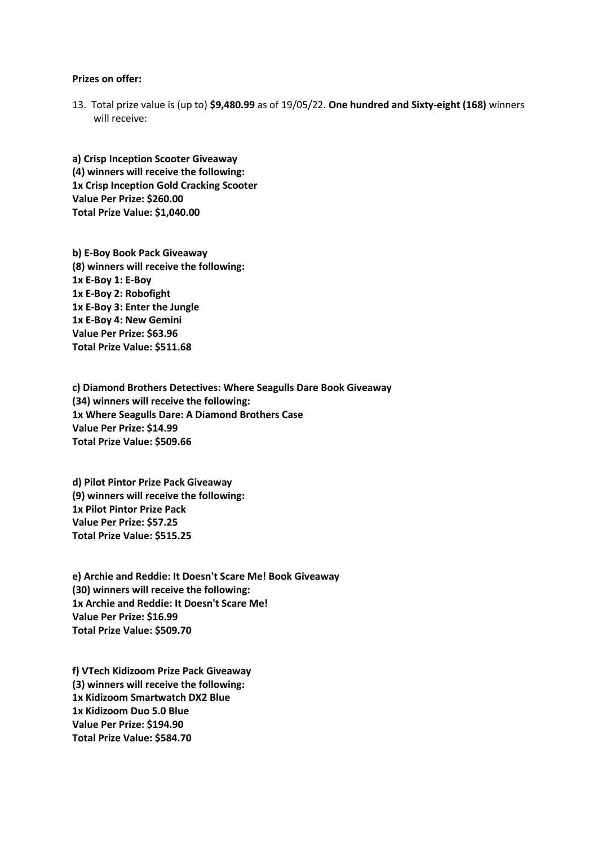#### **Prizes on offer:**

13. Total prize value is (up to) **\$9,480.99** as of 19/05/22. **One hundred and Sixty-eight (168)** winners will receive:

**a) Crisp Inception Scooter Giveaway (4) winners will receive the following: 1x Crisp Inception Gold Cracking Scooter Value Per Prize: \$260.00 Total Prize Value: \$1,040.00**

**b) E-Boy Book Pack Giveaway (8) winners will receive the following: 1x E-Boy 1: E-Boy 1x E-Boy 2: Robofight 1x E-Boy 3: Enter the Jungle 1x E-Boy 4: New Gemini Value Per Prize: \$63.96 Total Prize Value: \$511.68**

**c) Diamond Brothers Detectives: Where Seagulls Dare Book Giveaway (34) winners will receive the following: 1x Where Seagulls Dare: A Diamond Brothers Case Value Per Prize: \$14.99 Total Prize Value: \$509.66**

**d) Pilot Pintor Prize Pack Giveaway (9) winners will receive the following: 1x Pilot Pintor Prize Pack Value Per Prize: \$57.25 Total Prize Value: \$515.25**

**e) Archie and Reddie: It Doesn't Scare Me! Book Giveaway (30) winners will receive the following: 1x Archie and Reddie: It Doesn't Scare Me! Value Per Prize: \$16.99 Total Prize Value: \$509.70**

**f) VTech Kidizoom Prize Pack Giveaway (3) winners will receive the following: 1x Kidizoom Smartwatch DX2 Blue 1x Kidizoom Duo 5.0 Blue Value Per Prize: \$194.90 Total Prize Value: \$584.70**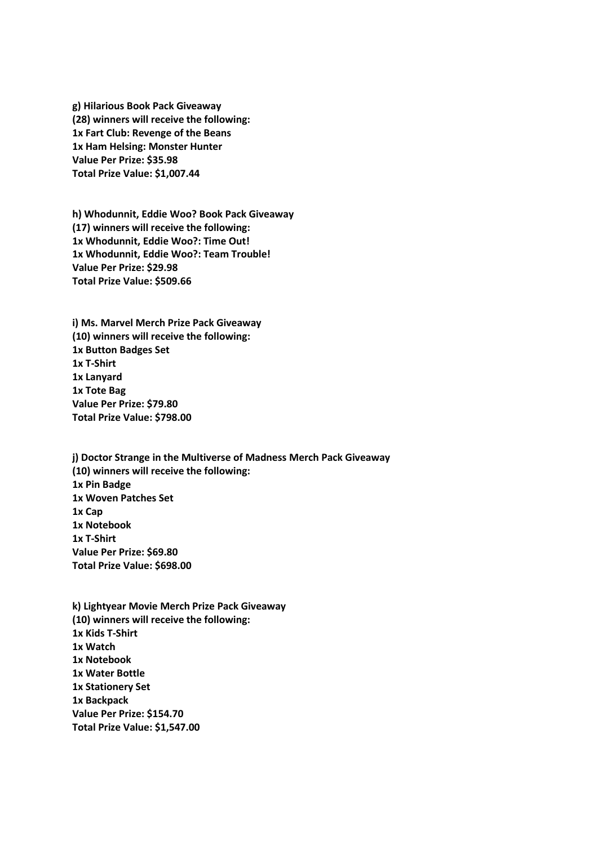**g) Hilarious Book Pack Giveaway (28) winners will receive the following: 1x Fart Club: Revenge of the Beans 1x Ham Helsing: Monster Hunter Value Per Prize: \$35.98 Total Prize Value: \$1,007.44**

**h) Whodunnit, Eddie Woo? Book Pack Giveaway (17) winners will receive the following: 1x Whodunnit, Eddie Woo?: Time Out! 1x Whodunnit, Eddie Woo?: Team Trouble! Value Per Prize: \$29.98 Total Prize Value: \$509.66**

**i) Ms. Marvel Merch Prize Pack Giveaway (10) winners will receive the following: 1x Button Badges Set 1x T-Shirt 1x Lanyard 1x Tote Bag Value Per Prize: \$79.80 Total Prize Value: \$798.00**

**j) Doctor Strange in the Multiverse of Madness Merch Pack Giveaway (10) winners will receive the following: 1x Pin Badge 1x Woven Patches Set 1x Cap 1x Notebook 1x T-Shirt Value Per Prize: \$69.80 Total Prize Value: \$698.00**

**k) Lightyear Movie Merch Prize Pack Giveaway (10) winners will receive the following: 1x Kids T-Shirt 1x Watch 1x Notebook 1x Water Bottle 1x Stationery Set 1x Backpack Value Per Prize: \$154.70 Total Prize Value: \$1,547.00**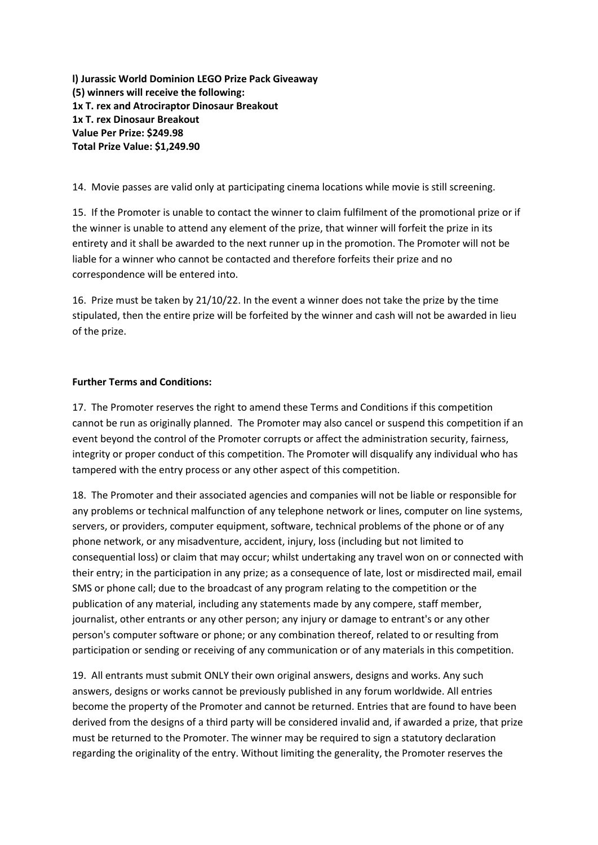**l) Jurassic World Dominion LEGO Prize Pack Giveaway (5) winners will receive the following: 1x T. rex and Atrociraptor Dinosaur Breakout 1x T. rex Dinosaur Breakout Value Per Prize: \$249.98 Total Prize Value: \$1,249.90**

14. Movie passes are valid only at participating cinema locations while movie is still screening.

15. If the Promoter is unable to contact the winner to claim fulfilment of the promotional prize or if the winner is unable to attend any element of the prize, that winner will forfeit the prize in its entirety and it shall be awarded to the next runner up in the promotion. The Promoter will not be liable for a winner who cannot be contacted and therefore forfeits their prize and no correspondence will be entered into.

16. Prize must be taken by 21/10/22. In the event a winner does not take the prize by the time stipulated, then the entire prize will be forfeited by the winner and cash will not be awarded in lieu of the prize.

### **Further Terms and Conditions:**

17. The Promoter reserves the right to amend these Terms and Conditions if this competition cannot be run as originally planned. The Promoter may also cancel or suspend this competition if an event beyond the control of the Promoter corrupts or affect the administration security, fairness, integrity or proper conduct of this competition. The Promoter will disqualify any individual who has tampered with the entry process or any other aspect of this competition.

18. The Promoter and their associated agencies and companies will not be liable or responsible for any problems or technical malfunction of any telephone network or lines, computer on line systems, servers, or providers, computer equipment, software, technical problems of the phone or of any phone network, or any misadventure, accident, injury, loss (including but not limited to consequential loss) or claim that may occur; whilst undertaking any travel won on or connected with their entry; in the participation in any prize; as a consequence of late, lost or misdirected mail, email SMS or phone call; due to the broadcast of any program relating to the competition or the publication of any material, including any statements made by any compere, staff member, journalist, other entrants or any other person; any injury or damage to entrant's or any other person's computer software or phone; or any combination thereof, related to or resulting from participation or sending or receiving of any communication or of any materials in this competition.

19. All entrants must submit ONLY their own original answers, designs and works. Any such answers, designs or works cannot be previously published in any forum worldwide. All entries become the property of the Promoter and cannot be returned. Entries that are found to have been derived from the designs of a third party will be considered invalid and, if awarded a prize, that prize must be returned to the Promoter. The winner may be required to sign a statutory declaration regarding the originality of the entry. Without limiting the generality, the Promoter reserves the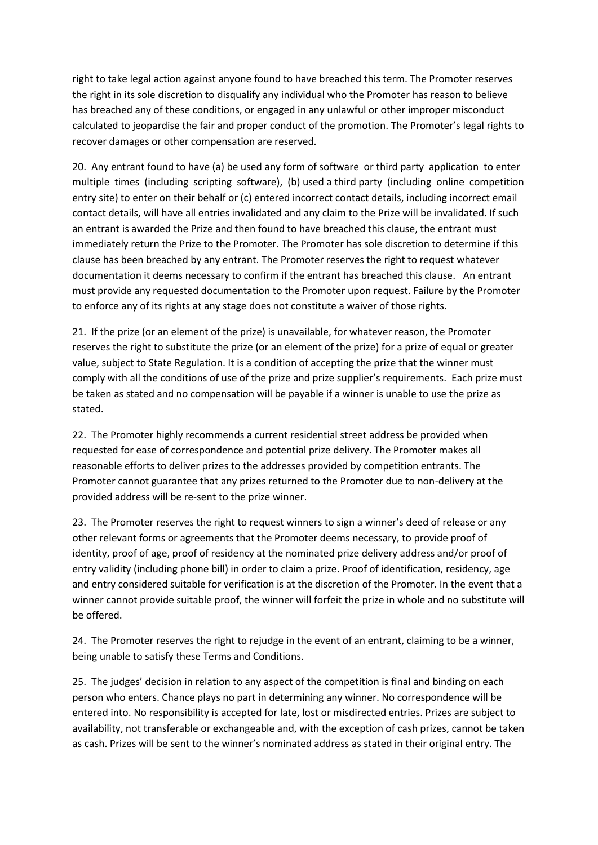right to take legal action against anyone found to have breached this term. The Promoter reserves the right in its sole discretion to disqualify any individual who the Promoter has reason to believe has breached any of these conditions, or engaged in any unlawful or other improper misconduct calculated to jeopardise the fair and proper conduct of the promotion. The Promoter's legal rights to recover damages or other compensation are reserved.

20. Any entrant found to have (a) be used any form of software or third party application to enter multiple times (including scripting software), (b) used a third party (including online competition entry site) to enter on their behalf or (c) entered incorrect contact details, including incorrect email contact details, will have all entries invalidated and any claim to the Prize will be invalidated. If such an entrant is awarded the Prize and then found to have breached this clause, the entrant must immediately return the Prize to the Promoter. The Promoter has sole discretion to determine if this clause has been breached by any entrant. The Promoter reserves the right to request whatever documentation it deems necessary to confirm if the entrant has breached this clause. An entrant must provide any requested documentation to the Promoter upon request. Failure by the Promoter to enforce any of its rights at any stage does not constitute a waiver of those rights.

21. If the prize (or an element of the prize) is unavailable, for whatever reason, the Promoter reserves the right to substitute the prize (or an element of the prize) for a prize of equal or greater value, subject to State Regulation. It is a condition of accepting the prize that the winner must comply with all the conditions of use of the prize and prize supplier's requirements. Each prize must be taken as stated and no compensation will be payable if a winner is unable to use the prize as stated.

22. The Promoter highly recommends a current residential street address be provided when requested for ease of correspondence and potential prize delivery. The Promoter makes all reasonable efforts to deliver prizes to the addresses provided by competition entrants. The Promoter cannot guarantee that any prizes returned to the Promoter due to non-delivery at the provided address will be re-sent to the prize winner.

23. The Promoter reserves the right to request winners to sign a winner's deed of release or any other relevant forms or agreements that the Promoter deems necessary, to provide proof of identity, proof of age, proof of residency at the nominated prize delivery address and/or proof of entry validity (including phone bill) in order to claim a prize. Proof of identification, residency, age and entry considered suitable for verification is at the discretion of the Promoter. In the event that a winner cannot provide suitable proof, the winner will forfeit the prize in whole and no substitute will be offered.

24. The Promoter reserves the right to rejudge in the event of an entrant, claiming to be a winner, being unable to satisfy these Terms and Conditions.

25. The judges' decision in relation to any aspect of the competition is final and binding on each person who enters. Chance plays no part in determining any winner. No correspondence will be entered into. No responsibility is accepted for late, lost or misdirected entries. Prizes are subject to availability, not transferable or exchangeable and, with the exception of cash prizes, cannot be taken as cash. Prizes will be sent to the winner's nominated address as stated in their original entry. The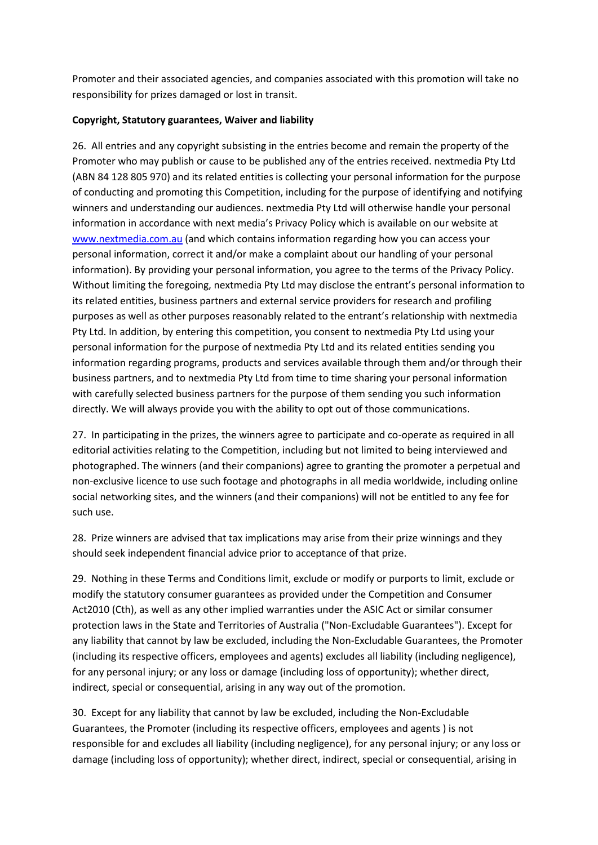Promoter and their associated agencies, and companies associated with this promotion will take no responsibility for prizes damaged or lost in transit.

# **Copyright, Statutory guarantees, Waiver and liability**

26. All entries and any copyright subsisting in the entries become and remain the property of the Promoter who may publish or cause to be published any of the entries received. nextmedia Pty Ltd (ABN 84 128 805 970) and its related entities is collecting your personal information for the purpose of conducting and promoting this Competition, including for the purpose of identifying and notifying winners and understanding our audiences. nextmedia Pty Ltd will otherwise handle your personal information in accordance with next media's Privacy Policy which is available on our website at [www.nextmedia.com.au](http://www.nextmedia.com.au/) (and which contains information regarding how you can access your personal information, correct it and/or make a complaint about our handling of your personal information). By providing your personal information, you agree to the terms of the Privacy Policy. Without limiting the foregoing, nextmedia Pty Ltd may disclose the entrant's personal information to its related entities, business partners and external service providers for research and profiling purposes as well as other purposes reasonably related to the entrant's relationship with nextmedia Pty Ltd. In addition, by entering this competition, you consent to nextmedia Pty Ltd using your personal information for the purpose of nextmedia Pty Ltd and its related entities sending you information regarding programs, products and services available through them and/or through their business partners, and to nextmedia Pty Ltd from time to time sharing your personal information with carefully selected business partners for the purpose of them sending you such information directly. We will always provide you with the ability to opt out of those communications.

27. In participating in the prizes, the winners agree to participate and co-operate as required in all editorial activities relating to the Competition, including but not limited to being interviewed and photographed. The winners (and their companions) agree to granting the promoter a perpetual and non-exclusive licence to use such footage and photographs in all media worldwide, including online social networking sites, and the winners (and their companions) will not be entitled to any fee for such use.

28. Prize winners are advised that tax implications may arise from their prize winnings and they should seek independent financial advice prior to acceptance of that prize.

29. Nothing in these Terms and Conditions limit, exclude or modify or purports to limit, exclude or modify the statutory consumer guarantees as provided under the Competition and Consumer Act2010 (Cth), as well as any other implied warranties under the ASIC Act or similar consumer protection laws in the State and Territories of Australia ("Non-Excludable Guarantees"). Except for any liability that cannot by law be excluded, including the Non-Excludable Guarantees, the Promoter (including its respective officers, employees and agents) excludes all liability (including negligence), for any personal injury; or any loss or damage (including loss of opportunity); whether direct, indirect, special or consequential, arising in any way out of the promotion.

30. Except for any liability that cannot by law be excluded, including the Non-Excludable Guarantees, the Promoter (including its respective officers, employees and agents ) is not responsible for and excludes all liability (including negligence), for any personal injury; or any loss or damage (including loss of opportunity); whether direct, indirect, special or consequential, arising in